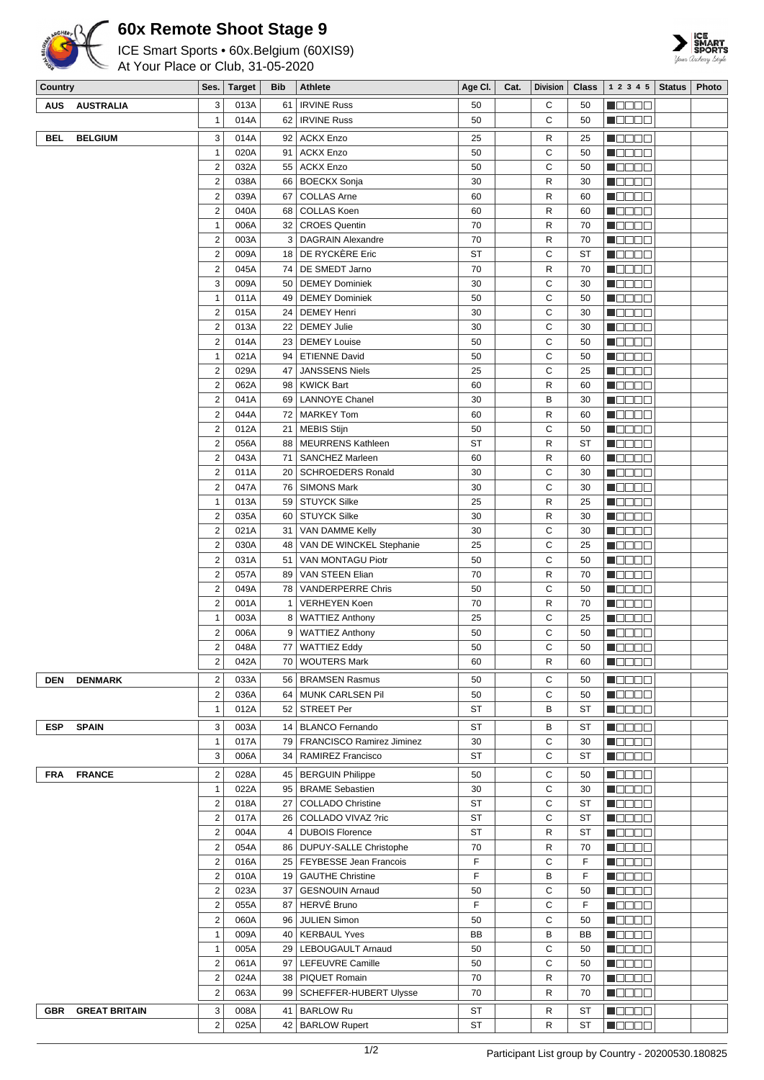

## **60x Remote Shoot Stage 9**

ICE Smart Sports • 60x.Belgium (60XIS9)

At Your Place or Club, 31-05-2020



| Country    |                      | Ses.                             | <b>Target</b> | <b>Bib</b>        | Athlete                                              | Age Cl.  | Cat. | <b>Division</b> | <b>Class</b> | 1 2 3 4 5                                                   | <b>Status</b> | Photo |
|------------|----------------------|----------------------------------|---------------|-------------------|------------------------------------------------------|----------|------|-----------------|--------------|-------------------------------------------------------------|---------------|-------|
| AUS        | <b>AUSTRALIA</b>     | 3                                | 013A          | 61                | <b>IRVINE Russ</b>                                   | 50       |      | С               | 50           | M O O O O                                                   |               |       |
|            |                      | $\mathbf{1}$                     | 014A          | 62                | <b>IRVINE Russ</b>                                   | 50       |      | C               | 50           | <b>RODOO</b>                                                |               |       |
| <b>BEL</b> | <b>BELGIUM</b>       | 3                                | 014A          |                   | 92 ACKX Enzo                                         | 25       |      | R               | 25           | N O O O O                                                   |               |       |
|            |                      | $\overline{1}$                   | 020A          | 91                | <b>ACKX Enzo</b>                                     | 50       |      | C               | 50           | N O O O O                                                   |               |       |
|            |                      | $\overline{2}$                   | 032A          | 55                | <b>ACKX Enzo</b>                                     | 50       |      | C               | 50           | N O D O O                                                   |               |       |
|            |                      | $\overline{2}$                   | 038A          | 66                | <b>BOECKX Sonja</b>                                  | 30       |      | R               | 30           | $\blacksquare$                                              |               |       |
|            |                      | $\sqrt{2}$                       | 039A          | 67                | <b>COLLAS Arne</b>                                   | 60       |      | R               | 60           | <b>MODOO</b>                                                |               |       |
|            |                      | $\overline{2}$                   | 040A          | 68                | <b>COLLAS Koen</b>                                   | 60       |      | R               | 60           | <b>M</b> ODOO                                               |               |       |
|            |                      | $\mathbf{1}$                     | 006A          | 32                | <b>CROES Quentin</b>                                 | 70       |      | R               | 70           | N O D O O                                                   |               |       |
|            |                      | $\overline{2}$                   | 003A          |                   | 3   DAGRAIN Alexandre                                | 70       |      | R               | 70           | N DE ER                                                     |               |       |
|            |                      | $\sqrt{2}$                       | 009A          |                   | 18 DE RYCKERE Eric                                   | ST       |      | C               | ST           | <b>MODOO</b>                                                |               |       |
|            |                      | $\overline{2}$                   | 045A          |                   | 74   DE SMEDT Jarno                                  | 70       |      | R               | 70           | <b>M</b> OOOO                                               |               |       |
|            |                      | 3                                | 009A          |                   | 50   DEMEY Dominiek                                  | 30       |      | C               | 30           | <b>M</b> ODOO                                               |               |       |
|            |                      | $\overline{1}$                   | 011A          |                   | 49   DEMEY Dominiek                                  | 50       |      | C               | 50           | N O D O D                                                   |               |       |
|            |                      | $\sqrt{2}$                       | 015A          | 24                | <b>DEMEY Henri</b>                                   | 30       |      | C               | 30           | N O O O O                                                   |               |       |
|            |                      | $\sqrt{2}$                       | 013A          | 22                | <b>DEMEY Julie</b>                                   | 30       |      | C               | 30           | HOOOO                                                       |               |       |
|            |                      | $\overline{2}$                   | 014A          | 23                | <b>DEMEY Louise</b>                                  | 50       |      | C               | 50           | $\blacksquare$ $\square$ $\square$ $\square$                |               |       |
|            |                      | $\mathbf{1}$                     | 021A          |                   | 94   ETIENNE David                                   | 50       |      | C               | 50           | N DE ER                                                     |               |       |
|            |                      | $\overline{2}$                   | 029A          | 47                | <b>JANSSENS Niels</b>                                | 25       |      | C               | 25           | M OD O O                                                    |               |       |
|            |                      | $\sqrt{2}$                       | 062A          |                   | 98   KWICK Bart                                      | 60       |      | R               | 60           | MODO 2                                                      |               |       |
|            |                      | $\overline{2}$                   | 041A          |                   | 69   LANNOYE Chanel                                  | 30       |      | B               | 30           | N O D O O                                                   |               |       |
|            |                      | $\overline{2}$                   | 044A          |                   | 72   MARKEY Tom                                      | 60       |      | R               | 60           | <b>M</b> ODOO                                               |               |       |
|            |                      | $\sqrt{2}$                       | 012A          | 21                | MEBIS Stijn                                          | 50       |      | C               | 50           | Macas                                                       |               |       |
|            |                      | $\sqrt{2}$                       | 056A          |                   | 88   MEURRENS Kathleen                               | ST       |      | R               | ST           | $\blacksquare$ $\square$ $\square$ $\square$                |               |       |
|            |                      | $\overline{2}$                   | 043A          | 71                | SANCHEZ Marleen                                      | 60       |      | R               | 60           | N O D O O                                                   |               |       |
|            |                      | $\overline{2}$                   | 011A          |                   | 20   SCHROEDERS Ronald                               | 30       |      | C               | 30           | N DE ER                                                     |               |       |
|            |                      | $\overline{2}$                   | 047A          | 76                | <b>SIMONS Mark</b>                                   | 30       |      | C               | 30           | <b>MODOO</b>                                                |               |       |
|            |                      | $\mathbf{1}$                     | 013A          |                   | 59 STUYCK Silke                                      | 25       |      | R               | 25           | HOOOO                                                       |               |       |
|            |                      | $\sqrt{2}$                       | 035A          |                   | 60   STUYCK Silke                                    | 30       |      | R               | 30           | $\blacksquare$ $\square$ $\square$ $\square$                |               |       |
|            |                      | $\sqrt{2}$                       | 021A          | 31                | VAN DAMME Kelly                                      | 30       |      | C               | 30           | N O D O D                                                   |               |       |
|            |                      | $\overline{2}$                   | 030A          |                   | 48   VAN DE WINCKEL Stephanie                        | 25       |      | C               | 25           | <b>M</b> OOOO                                               |               |       |
|            |                      | $\sqrt{2}$                       | 031A          | 51                | VAN MONTAGU Piotr                                    | 50       |      | C               | 50           | HOOOO                                                       |               |       |
|            |                      | $\overline{2}$                   | 057A          | 89                | <b>VAN STEEN Elian</b>                               | 70       |      | R<br>C          | 70           | <b>M</b> OOOO                                               |               |       |
|            |                      | $\sqrt{2}$<br>$\overline{2}$     | 049A          | 78                | <b>VANDERPERRE Chris</b><br><b>VERHEYEN Koen</b>     | 50<br>70 |      | R               | 50           | $\blacksquare$<br><b>MODOO</b>                              |               |       |
|            |                      | $\mathbf{1}$                     | 001A<br>003A  | $\mathbf{1}$<br>8 | <b>WATTIEZ Anthony</b>                               | 25       |      | С               | 70<br>25     | HOOOO                                                       |               |       |
|            |                      | $\overline{2}$                   | 006A          | 9                 | <b>WATTIEZ Anthony</b>                               | 50       |      | С               | 50           | ME E E E                                                    |               |       |
|            |                      | $\overline{2}$                   | 048A          |                   | 77 WATTIEZ Eddy                                      | 50       |      | C               | 50           | N DE EL                                                     |               |       |
|            |                      | 2                                | 042A          | 70 I              | <b>WOUTERS Mark</b>                                  | 60       |      | R               | 60           | <u>Licicia</u>                                              |               |       |
|            |                      |                                  |               |                   |                                                      |          |      |                 |              |                                                             |               |       |
| <b>DEN</b> | <b>DENMARK</b>       | $\sqrt{2}$<br>$\overline{2}$     | 033A          | 56                | <b>BRAMSEN Rasmus</b>                                | 50       |      | C<br>С          | 50           | <b>MODOO</b><br><b>MODOO</b>                                |               |       |
|            |                      | $\mathbf{1}$                     | 036A<br>012A  |                   | 64   MUNK CARLSEN Pil<br>52 STREET Per               | 50<br>ST |      | В               | 50<br>ST     | $\blacksquare$ $\blacksquare$ $\blacksquare$ $\blacksquare$ |               |       |
|            |                      |                                  |               |                   |                                                      |          |      |                 |              |                                                             |               |       |
| <b>ESP</b> | <b>SPAIN</b>         | 3                                | 003A          |                   | 14   BLANCO Fernando                                 | ST       |      | В               | ST           | Maaaa                                                       |               |       |
|            |                      | $\mathbf{1}$                     | 017A          |                   | 79   FRANCISCO Ramirez Jiminez                       | 30       |      | С               | 30           | $\blacksquare$ $\square$ $\square$ $\square$                |               |       |
|            |                      | 3                                | 006A          |                   | 34   RAMIREZ Francisco                               | ST       |      | С               | ST           | $\blacksquare$ $\square$ $\square$ $\square$                |               |       |
| <b>FRA</b> | <b>FRANCE</b>        | $\overline{2}$                   | 028A          |                   | 45   BERGUIN Philippe                                | 50       |      | С               | 50           | n BBB B                                                     |               |       |
|            |                      | $\mathbf{1}$                     | 022A          |                   | 95   BRAME Sebastien                                 | 30       |      | C               | 30           | n da aa                                                     |               |       |
|            |                      | $\overline{2}$                   | 018A          | 27                | COLLADO Christine                                    | ST       |      | С               | ST           | $\blacksquare$ $\square$ $\square$ $\square$                |               |       |
|            |                      | $\overline{2}$                   | 017A          |                   | 26   COLLADO VIVAZ ?ric                              | ST       |      | C               | ST           | <b>M</b> ODOO                                               |               |       |
|            |                      | $\overline{2}$                   | 004A          |                   | 4   DUBOIS Florence                                  | ST       |      | R               | ST           | $\blacksquare$ $\square$ $\square$ $\square$                |               |       |
|            |                      | $\sqrt{2}$                       | 054A          |                   | 86   DUPUY-SALLE Christophe                          | 70<br>F  |      | R               | 70           | $\blacksquare$ $\square$ $\square$ $\square$                |               |       |
|            |                      | $\overline{2}$                   | 016A<br>010A  |                   | 25   FEYBESSE Jean Francois<br>19   GAUTHE Christine | F        |      | C<br>В          | F<br>F       | $\blacksquare$ $\square$ $\square$ $\square$                |               |       |
|            |                      | $\overline{2}$<br>$\overline{2}$ | 023A          |                   | 37   GESNOUIN Arnaud                                 | 50       |      | C               | 50           | N 8888<br>M S S S S                                         |               |       |
|            |                      | $\overline{2}$                   | 055A          |                   | 87 HERVÉ Bruno                                       | F        |      | С               | F            | <b>Madaa</b>                                                |               |       |
|            |                      | $\sqrt{2}$                       | 060A          |                   | 96 JULIEN Simon                                      | 50       |      | C               | 50           | $\blacksquare$ $\square$ $\square$ $\square$                |               |       |
|            |                      | $\mathbf{1}$                     | 009A          |                   | 40   KERBAUL Yves                                    | BB       |      | B               | BB           | MOOOO                                                       |               |       |
|            |                      | $\mathbf{1}$                     | 005A          |                   | 29   LEBOUGAULT Arnaud                               | 50       |      | С               | 50           | <b>M</b> OOOO                                               |               |       |
|            |                      | $\overline{2}$                   | 061A          |                   | 97   LEFEUVRE Camille                                | 50       |      | С               | 50           | N BE SE                                                     |               |       |
|            |                      | $\overline{2}$                   | 024A          |                   | 38   PIQUET Romain                                   | 70       |      | R               | 70           | $\blacksquare$                                              |               |       |
|            |                      | $\sqrt{2}$                       | 063A          |                   | 99   SCHEFFER-HUBERT Ulysse                          | 70       |      | R               | 70           | n oo oo                                                     |               |       |
| <b>GBR</b> | <b>GREAT BRITAIN</b> | 3                                | 008A          | 41                | <b>BARLOW Ru</b>                                     | ST       |      | R               | ST           | M O O O O                                                   |               |       |
|            |                      | $\overline{2}$                   | 025A          | 42                | <b>BARLOW Rupert</b>                                 | ST       |      | R               | ST           | HOOOO                                                       |               |       |
|            |                      |                                  |               |                   |                                                      |          |      |                 |              |                                                             |               |       |